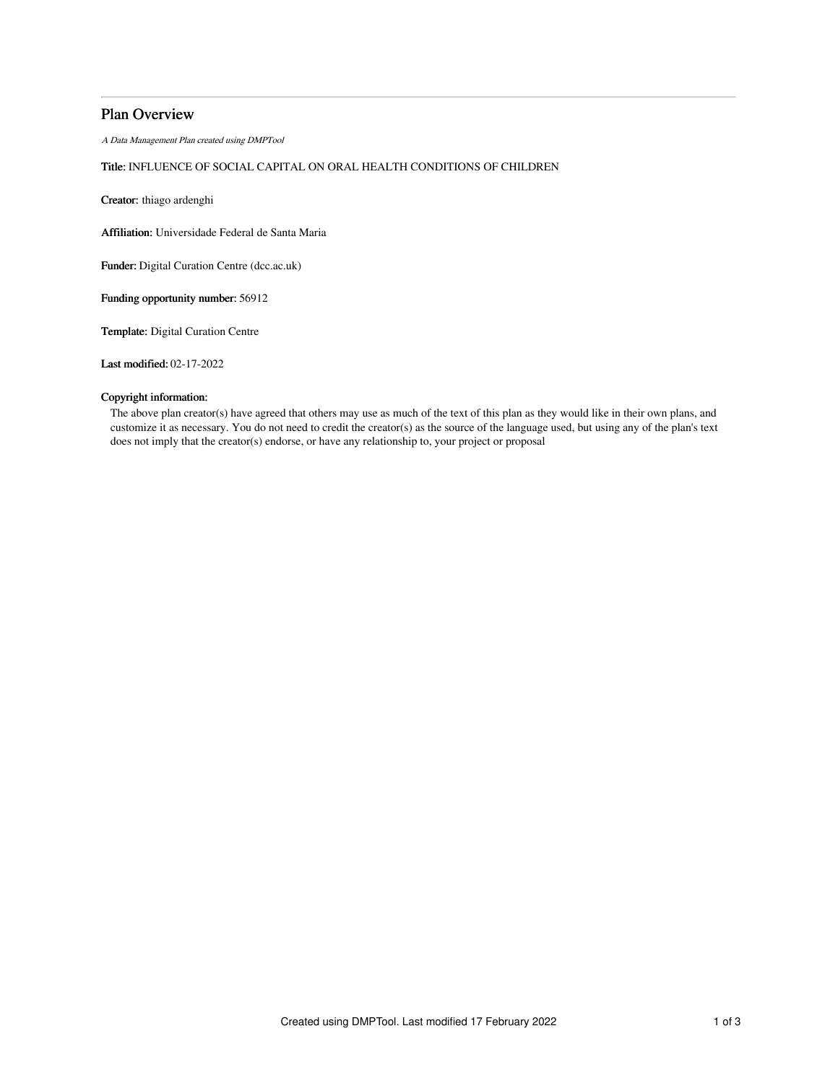## Plan Overview

A Data Management Plan created using DMPTool

# Title: INFLUENCE OF SOCIAL CAPITAL ON ORAL HEALTH CONDITIONS OF CHILDREN

Creator: thiago ardenghi

Affiliation: Universidade Federal de Santa Maria

Funder: Digital Curation Centre (dcc.ac.uk)

Funding opportunity number: 56912

Template: Digital Curation Centre

Last modified: 02-17-2022

## Copyright information:

The above plan creator(s) have agreed that others may use as much of the text of this plan as they would like in their own plans, and customize it as necessary. You do not need to credit the creator(s) as the source of the language used, but using any of the plan's text does not imply that the creator(s) endorse, or have any relationship to, your project or proposal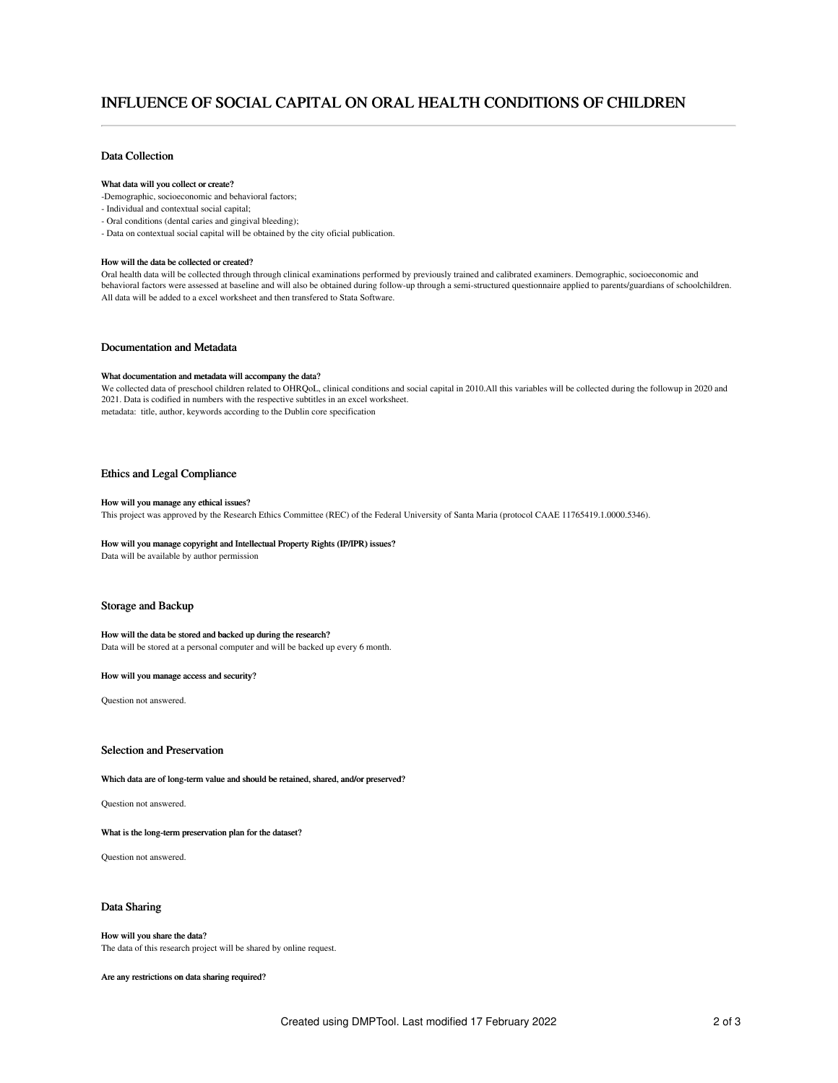# INFLUENCE OF SOCIAL CAPITAL ON ORAL HEALTH CONDITIONS OF CHILDREN

## Data Collection

#### What data will you collect or create?

- -Demographic, socioeconomic and behavioral factors;
- Individual and contextual social capital;
- Oral conditions (dental caries and gingival bleeding);
- Data on contextual social capital will be obtained by the city oficial publication.

#### How will the data be collected or created?

Oral health data will be collected through through clinical examinations performed by previously trained and calibrated examiners. Demographic, socioeconomic and behavioral factors were assessed at baseline and will also be obtained during follow-up through a semi-structured questionnaire applied to parents/guardians of schoolchildren. All data will be added to a excel worksheet and then transfered to Stata Software.

### Documentation and Metadata

#### What documentation and metadata will accompany the data?

We collected data of preschool children related to OHRQoL, clinical conditions and social capital in 2010.All this variables will be collected during the followup in 2020 and 2021. Data is codified in numbers with the respective subtitles in an excel worksheet. metadata: title, author, keywords according to the Dublin core specification

### Ethics and Legal Compliance

#### How will you manage any ethical issues?

This project was approved by the Research Ethics Committee (REC) of the Federal University of Santa Maria (protocol CAAE 11765419.1.0000.5346).

#### How will you manage copyright and Intellectual Property Rights (IP/IPR) issues?

Data will be available by author permission

#### Storage and Backup

#### How will the data be stored and backed up during the research?

Data will be stored at a personal computer and will be backed up every 6 month.

#### How will you manage access and security?

Question not answered.

### Selection and Preservation

#### Which data are of long-term value and should be retained, shared, and/or preserved?

Question not answered.

#### What is the long-term preservation plan for the dataset?

Question not answered.

## Data Sharing

## How will you share the data?

The data of this research project will be shared by online request.

Are any restrictions on data sharing required?